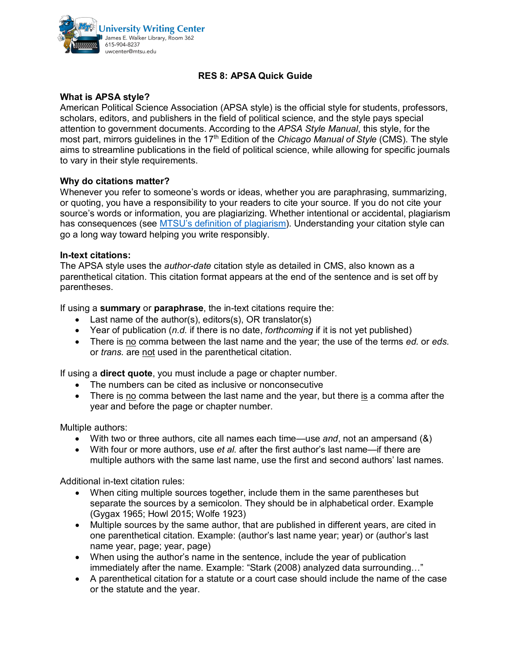

# **RES 8: APSA Quick Guide**

# **What is APSA style?**

American Political Science Association (APSA style) is the official style for students, professors, scholars, editors, and publishers in the field of political science, and the style pays special attention to government documents. According to the *APSA Style Manual*, this style, for the most part, mirrors guidelines in the 17<sup>th</sup> Edition of the *Chicago Manual of Style* (CMS). The style aims to streamline publications in the field of political science, while allowing for specific journals to vary in their style requirements.

### **Why do citations matter?**

Whenever you refer to someone's words or ideas, whether you are paraphrasing, summarizing, or quoting, you have a responsibility to your readers to cite your source. If you do not cite your source's words or information, you are plagiarizing. Whether intentional or accidental, plagiarism has consequences (see [MTSU's definition of plagiarism\)](https://www.mtsu.edu/provost/academic-integrity.php). Understanding your citation style can go a long way toward helping you write responsibly.

#### **In-text citations:**

The APSA style uses the *author-date* citation style as detailed in CMS, also known as a parenthetical citation. This citation format appears at the end of the sentence and is set off by parentheses.

If using a **summary** or **paraphrase**, the in-text citations require the:

- Last name of the author(s), editors(s), OR translator(s)
- Year of publication (*n.d.* if there is no date, *forthcoming* if it is not yet published)
- There is no comma between the last name and the year; the use of the terms *ed.* or *eds.* or *trans.* are not used in the parenthetical citation.

If using a **direct quote**, you must include a page or chapter number.

- The numbers can be cited as inclusive or nonconsecutive
- There is no comma between the last name and the year, but there is a comma after the year and before the page or chapter number.

#### Multiple authors:

- With two or three authors, cite all names each time—use *and*, not an ampersand (&)
- With four or more authors, use *et al.* after the first author's last name—if there are multiple authors with the same last name, use the first and second authors' last names.

Additional in-text citation rules:

- When citing multiple sources together, include them in the same parentheses but separate the sources by a semicolon. They should be in alphabetical order. Example (Gygax 1965; Howl 2015; Wolfe 1923)
- Multiple sources by the same author, that are published in different years, are cited in one parenthetical citation. Example: (author's last name year; year) or (author's last name year, page; year, page)
- When using the author's name in the sentence, include the year of publication immediately after the name. Example: "Stark (2008) analyzed data surrounding…"
- A parenthetical citation for a statute or a court case should include the name of the case or the statute and the year.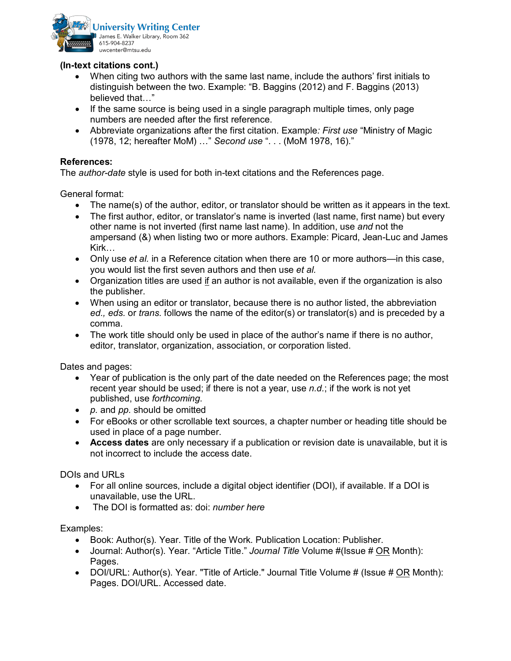

# **(In-text citations cont.)**

- When citing two authors with the same last name, include the authors' first initials to distinguish between the two. Example: "B. Baggins (2012) and F. Baggins (2013) believed that…"
- If the same source is being used in a single paragraph multiple times, only page numbers are needed after the first reference.
- Abbreviate organizations after the first citation. Example*: First use* "Ministry of Magic (1978, 12; hereafter MoM) …" *Second use* ". . . (MoM 1978, 16)."

# **References:**

The *author-date* style is used for both in-text citations and the References page.

General format:

- The name(s) of the author, editor, or translator should be written as it appears in the text.
- The first author, editor, or translator's name is inverted (last name, first name) but every other name is not inverted (first name last name). In addition, use *and* not the ampersand (&) when listing two or more authors. Example: Picard, Jean-Luc and James Kirk…
- Only use *et al.* in a Reference citation when there are 10 or more authors—in this case, you would list the first seven authors and then use *et al.*
- Organization titles are used if an author is not available, even if the organization is also the publisher.
- When using an editor or translator, because there is no author listed, the abbreviation *ed., eds.* or *trans.* follows the name of the editor(s) or translator(s) and is preceded by a comma.
- The work title should only be used in place of the author's name if there is no author, editor, translator, organization, association, or corporation listed.

Dates and pages:

- Year of publication is the only part of the date needed on the References page; the most recent year should be used; if there is not a year, use *n.d.*; if the work is not yet published, use *forthcoming*.
- *p.* and *pp.* should be omitted
- For eBooks or other scrollable text sources, a chapter number or heading title should be used in place of a page number.
- **Access dates** are only necessary if a publication or revision date is unavailable, but it is not incorrect to include the access date.

DOIs and URLs

- For all online sources, include a digital object identifier (DOI), if available. If a DOI is unavailable, use the URL.
- The DOI is formatted as: doi: *number here*

Examples:

- Book: Author(s). Year. Title of the Work. Publication Location: Publisher.
- Journal: Author(s). Year. "Article Title." *Journal Title* Volume #(Issue # OR Month): Pages.
- DOI/URL: Author(s). Year. "Title of Article." Journal Title Volume # (Issue # OR Month): Pages. DOI/URL. Accessed date.